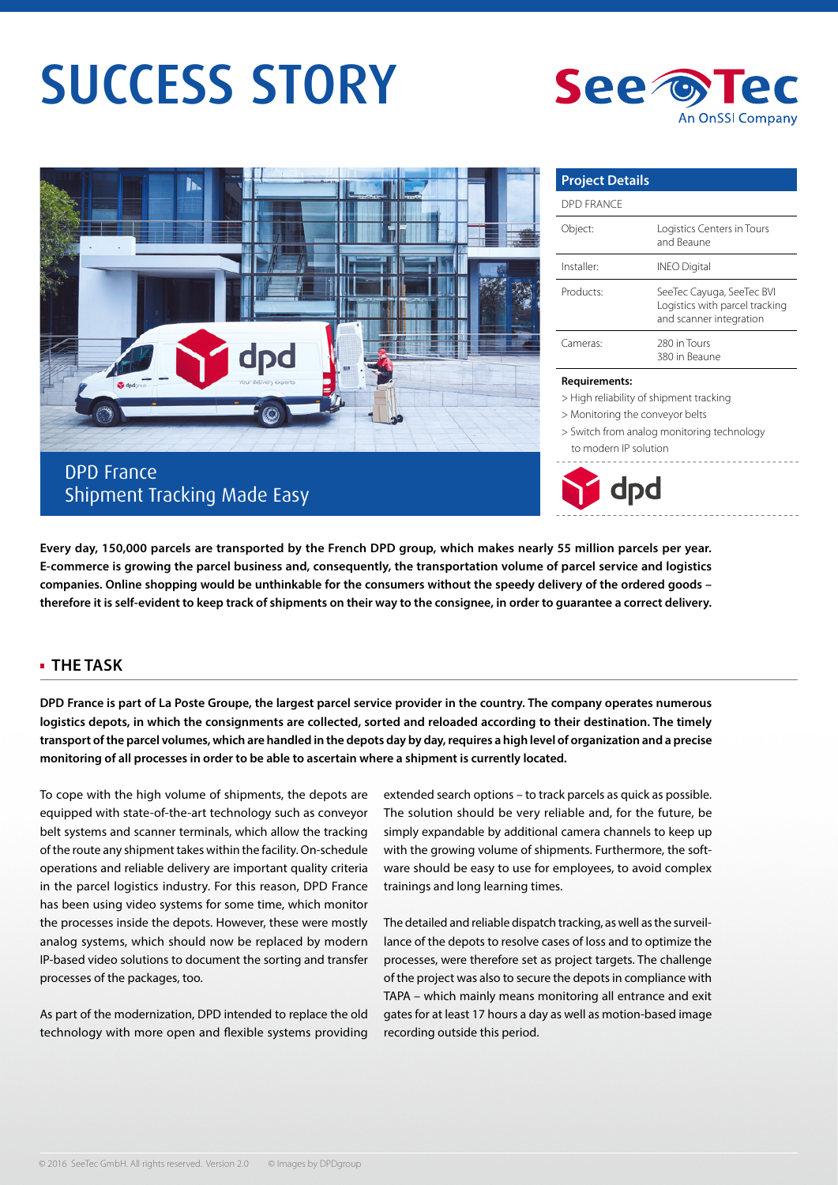# SUCCESS STORY





## DPD France Shipment Tracking Made Easy

| <b>Project Details</b> |                                                                                        |
|------------------------|----------------------------------------------------------------------------------------|
| DPD FRANCE             |                                                                                        |
| Object:                | Logistics Centers in Tours<br>and Beaune                                               |
| Installer <sup>.</sup> | <b>INEO Digital</b>                                                                    |
| Products:              | SeeTec Cayuga, SeeTec BVI<br>Logistics with parcel tracking<br>and scanner integration |
| Cameras:               | 280 in Tours<br>380 in Beaune                                                          |

#### **Requirements:**

- > High reliability of shipment tracking
- > Monitoring the conveyor belts

> Switch from analog monitoring technology to modern IP solution



**Every day, 150,000 parcels are transported by the French DPD group, which makes nearly 55 million parcels per year. E-commerce is growing the parcel business and, consequently, the transportation volume of parcel service and logistics companies. Online shopping would be unthinkable for the consumers without the speedy delivery of the ordered goods – therefore it is self-evident to keep track of shipments on their way to the consignee, in order to guarantee a correct delivery.** 

### **THE TASK**

**DPD France is part of La Poste Groupe, the largest parcel service provider in the country. The company operates numerous logistics depots, in which the consignments are collected, sorted and reloaded according to their destination. The timely transport of the parcel volumes, which are handled in the depots day by day, requires a high level of organization and a precise monitoring of all processes in order to be able to ascertain where a shipment is currently located.**

To cope with the high volume of shipments, the depots are equipped with state-of-the-art technology such as conveyor belt systems and scanner terminals, which allow the tracking of the route any shipment takes within the facility. On-schedule operations and reliable delivery are important quality criteria in the parcel logistics industry. For this reason, DPD France has been using video systems for some time, which monitor the processes inside the depots. However, these were mostly analog systems, which should now be replaced by modern IP-based video solutions to document the sorting and transfer processes of the packages, too.

As part of the modernization, DPD intended to replace the old technology with more open and flexible systems providing extended search options – to track parcels as quick as possible. The solution should be very reliable and, for the future, be simply expandable by additional camera channels to keep up with the growing volume of shipments. Furthermore, the software should be easy to use for employees, to avoid complex trainings and long learning times.

The detailed and reliable dispatch tracking, as well as the surveillance of the depots to resolve cases of loss and to optimize the processes, were therefore set as project targets. The challenge of the project was also to secure the depots in compliance with TAPA – which mainly means monitoring all entrance and exit gates for at least 17 hours a day as well as motion-based image recording outside this period.